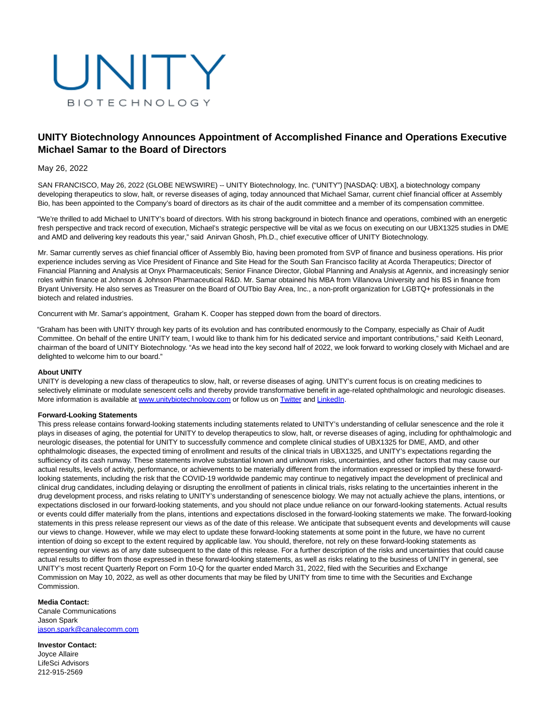

# **UNITY Biotechnology Announces Appointment of Accomplished Finance and Operations Executive Michael Samar to the Board of Directors**

## May 26, 2022

SAN FRANCISCO, May 26, 2022 (GLOBE NEWSWIRE) -- UNITY Biotechnology, Inc. ("UNITY") [NASDAQ: UBX], a biotechnology company developing therapeutics to slow, halt, or reverse diseases of aging, today announced that Michael Samar, current chief financial officer at Assembly Bio, has been appointed to the Company's board of directors as its chair of the audit committee and a member of its compensation committee.

"We're thrilled to add Michael to UNITY's board of directors. With his strong background in biotech finance and operations, combined with an energetic fresh perspective and track record of execution, Michael's strategic perspective will be vital as we focus on executing on our UBX1325 studies in DME and AMD and delivering key readouts this year," said Anirvan Ghosh, Ph.D., chief executive officer of UNITY Biotechnology.

Mr. Samar currently serves as chief financial officer of Assembly Bio, having been promoted from SVP of finance and business operations. His prior experience includes serving as Vice President of Finance and Site Head for the South San Francisco facility at Acorda Therapeutics; Director of Financial Planning and Analysis at Onyx Pharmaceuticals; Senior Finance Director, Global Planning and Analysis at Agennix, and increasingly senior roles within finance at Johnson & Johnson Pharmaceutical R&D. Mr. Samar obtained his MBA from Villanova University and his BS in finance from Bryant University. He also serves as Treasurer on the Board of OUTbio Bay Area, Inc., a non-profit organization for LGBTQ+ professionals in the biotech and related industries.

Concurrent with Mr. Samar's appointment, Graham K. Cooper has stepped down from the board of directors.

"Graham has been with UNITY through key parts of its evolution and has contributed enormously to the Company, especially as Chair of Audit Committee. On behalf of the entire UNITY team, I would like to thank him for his dedicated service and important contributions," said Keith Leonard, chairman of the board of UNITY Biotechnology. "As we head into the key second half of 2022, we look forward to working closely with Michael and are delighted to welcome him to our board."

### **About UNITY**

UNITY is developing a new class of therapeutics to slow, halt, or reverse diseases of aging. UNITY's current focus is on creating medicines to selectively eliminate or modulate senescent cells and thereby provide transformative benefit in age-related ophthalmologic and neurologic diseases. More information is available at [www.unitybiotechnology.com o](https://www.globenewswire.com/Tracker?data=Z1E9jWZdKvMvkZPWd-rdhGzs85Rgd874P5-54YFBNLf522-3EnwX_MUM7gotXuClJA-mMCSESqV08rn_fg-fNZvUoiSAc2fPdzQLAwjivBg=)r follow us on [Twitter a](https://www.globenewswire.com/Tracker?data=MS3_jCWbJkP2r6b5gbk4ZzBOyMLloWzbnqWmNu0pX0NZffmsfa4f1U3rA28lM1syoiP2zJWxEBwqITsxqJS_hg==)nd [LinkedIn.](https://www.globenewswire.com/Tracker?data=sMszgGVC3D-jlB3njr7nhCpz_rNhB1rpWEZIWoGdh6cyYfF8ZKHySEu5QxszPncQNFUCgexdKtfvcXSmX0rNZIAN-hPt-nuXnJIUliRd1RmfCvf4c7cQcDqgQxRep0pU)

#### **Forward-Looking Statements**

This press release contains forward-looking statements including statements related to UNITY's understanding of cellular senescence and the role it plays in diseases of aging, the potential for UNITY to develop therapeutics to slow, halt, or reverse diseases of aging, including for ophthalmologic and neurologic diseases, the potential for UNITY to successfully commence and complete clinical studies of UBX1325 for DME, AMD, and other ophthalmologic diseases, the expected timing of enrollment and results of the clinical trials in UBX1325, and UNITY's expectations regarding the sufficiency of its cash runway. These statements involve substantial known and unknown risks, uncertainties, and other factors that may cause our actual results, levels of activity, performance, or achievements to be materially different from the information expressed or implied by these forwardlooking statements, including the risk that the COVID-19 worldwide pandemic may continue to negatively impact the development of preclinical and clinical drug candidates, including delaying or disrupting the enrollment of patients in clinical trials, risks relating to the uncertainties inherent in the drug development process, and risks relating to UNITY's understanding of senescence biology. We may not actually achieve the plans, intentions, or expectations disclosed in our forward-looking statements, and you should not place undue reliance on our forward-looking statements. Actual results or events could differ materially from the plans, intentions and expectations disclosed in the forward-looking statements we make. The forward-looking statements in this press release represent our views as of the date of this release. We anticipate that subsequent events and developments will cause our views to change. However, while we may elect to update these forward-looking statements at some point in the future, we have no current intention of doing so except to the extent required by applicable law. You should, therefore, not rely on these forward-looking statements as representing our views as of any date subsequent to the date of this release. For a further description of the risks and uncertainties that could cause actual results to differ from those expressed in these forward-looking statements, as well as risks relating to the business of UNITY in general, see UNITY's most recent Quarterly Report on Form 10-Q for the quarter ended March 31, 2022, filed with the Securities and Exchange Commission on May 10, 2022, as well as other documents that may be filed by UNITY from time to time with the Securities and Exchange Commission.

#### **Media Contact:**

Canale Communications Jason Spark [jason.spark@canalecomm.com](https://www.globenewswire.com/Tracker?data=8FUieXqcvKtVNThDnIOONO43HSAEptTm1qdifI6ZNsXDFMVs1CS0wpE42th_vnNgpsIoMcc_v5Jo0s5HarYsHioP47lbLCkSE3Gz7e9WImjvdAkHWddyzc2-ZeKDSmJD)

**Investor Contact:** Joyce Allaire LifeSci Advisors 212-915-2569